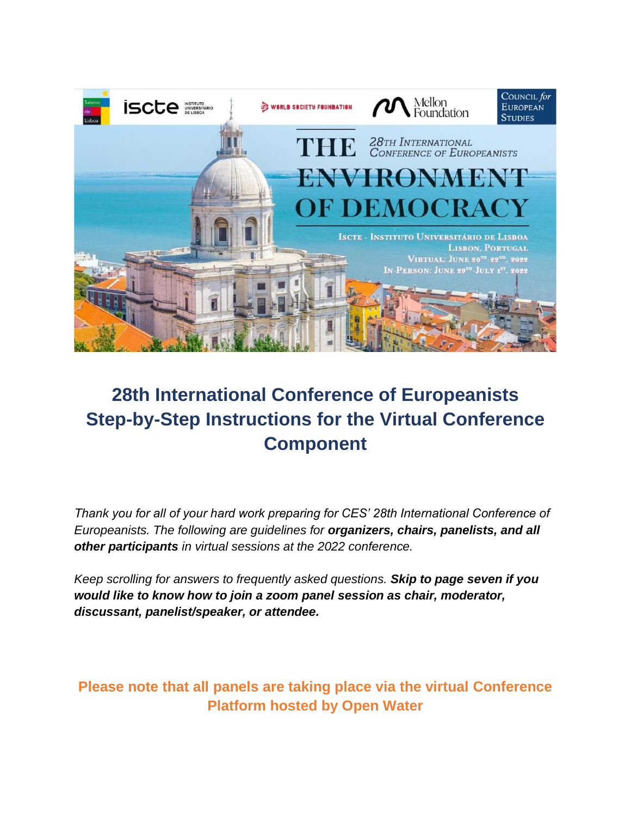

### **28th International Conference of Europeanists Step-by-Step Instructions for the Virtual Conference Component**

*Thank you for all of your hard work preparing for CES' 28th International Conference of Europeanists. The following are guidelines for organizers, chairs, panelists, and all other participants in virtual sessions at the 2022 conference.*

*Keep scrolling for answers to frequently asked questions. Skip to page seven if you would like to know how to join a zoom panel session as chair, moderator, discussant, panelist/speaker, or attendee.*

**Please note that all panels are taking place via the virtual Conference Platform hosted by Open Water**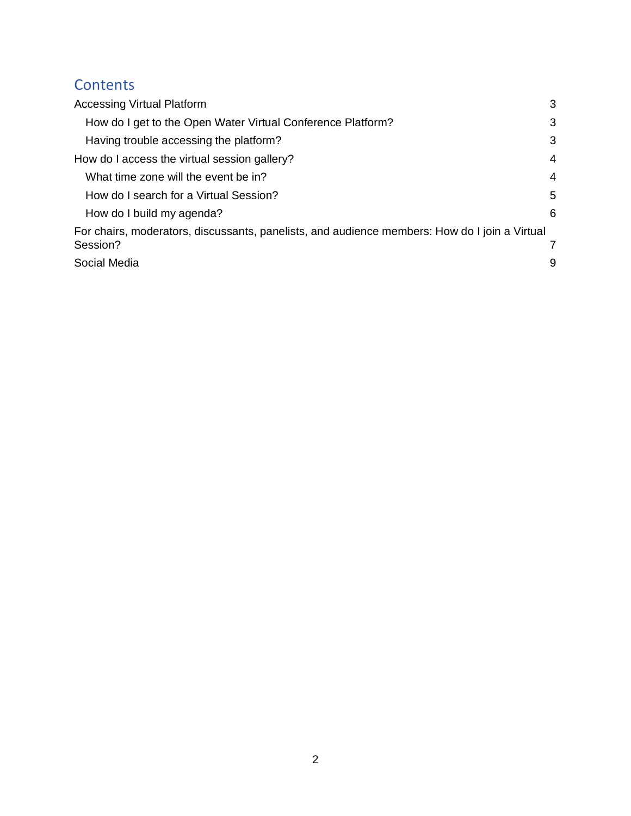#### **Contents**

| <b>Accessing Virtual Platform</b>                                                             | 3 |
|-----------------------------------------------------------------------------------------------|---|
| How do I get to the Open Water Virtual Conference Platform?                                   | 3 |
| Having trouble accessing the platform?                                                        | 3 |
| How do I access the virtual session gallery?                                                  | 4 |
| What time zone will the event be in?                                                          | 4 |
| How do I search for a Virtual Session?                                                        | 5 |
| How do I build my agenda?                                                                     | 6 |
| For chairs, moderators, discussants, panelists, and audience members: How do I join a Virtual |   |
| Session?                                                                                      |   |
| Social Media                                                                                  | 9 |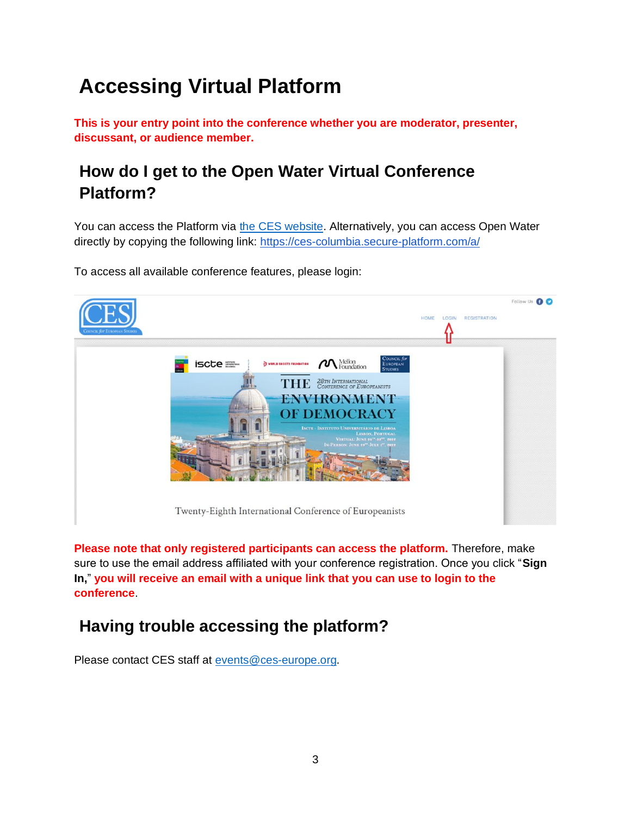# <span id="page-2-0"></span>**Accessing Virtual Platform**

**This is your entry point into the conference whether you are moderator, presenter, discussant, or audience member.**

### <span id="page-2-1"></span>**How do I get to the Open Water Virtual Conference Platform?**

You can access the Platform via [the CES website.](https://councilforeuropeanstudies.org/) Alternatively, you can access Open Water directly by copying the following link:<https://ces-columbia.secure-platform.com/a/>

To access all available conference features, please login:



**Please note that only registered participants can access the platform.** Therefore, make sure to use the email address affiliated with your conference registration. Once you click "**Sign In,**" **you will receive an email with a unique link that you can use to login to the conference**.

### <span id="page-2-2"></span>**Having trouble accessing the platform?**

Please contact CES staff at [events@ces-europe.org.](mailto:events@ces-europe.org)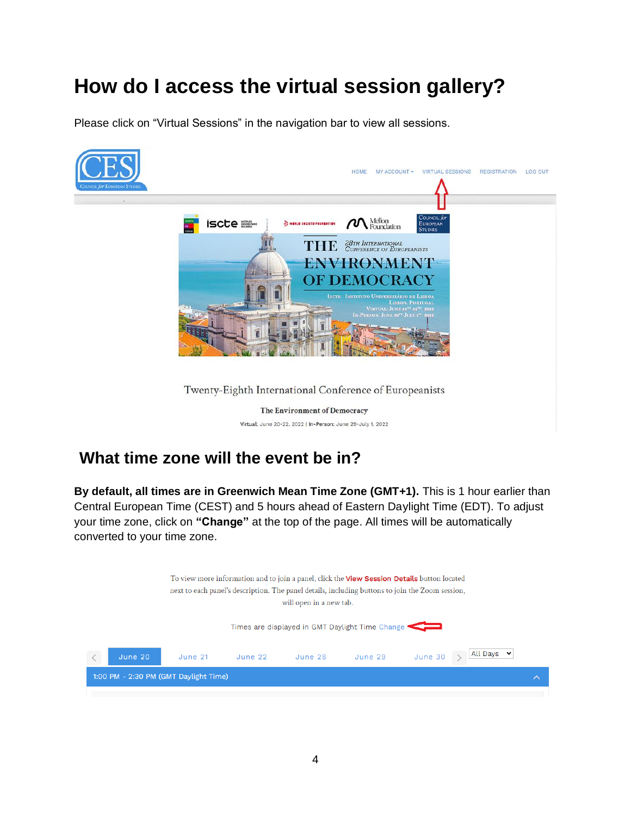## <span id="page-3-0"></span>**How do I access the virtual session gallery?**

Please click on "Virtual Sessions" in the navigation bar to view all sessions.



#### <span id="page-3-1"></span>**What time zone will the event be in?**

**By default, all times are in Greenwich Mean Time Zone (GMT+1).** This is 1 hour earlier than Central European Time (CEST) and 5 hours ahead of Eastern Daylight Time (EDT). To adjust your time zone, click on **"Change"** at the top of the page. All times will be automatically converted to your time zone.

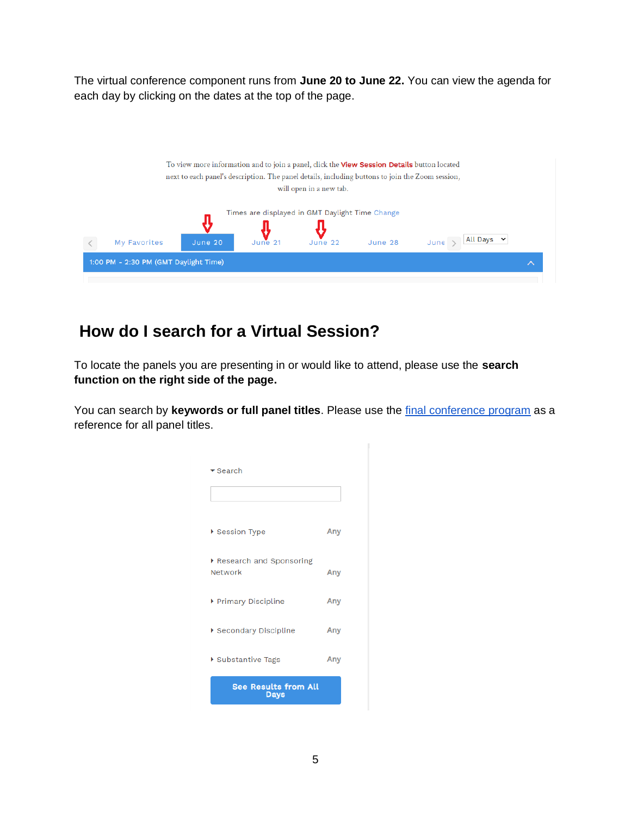The virtual conference component runs from **June 20 to June 22.** You can view the agenda for each day by clicking on the dates at the top of the page.



#### <span id="page-4-0"></span>**How do I search for a Virtual Session?**

To locate the panels you are presenting in or would like to attend, please use the **search function on the right side of the page.** 

You can search by **keywords or full panel titles**. Please use the [final conference program](https://councilforeuropeanstudies.org/2022-final-programs/) as a reference for all panel titles.

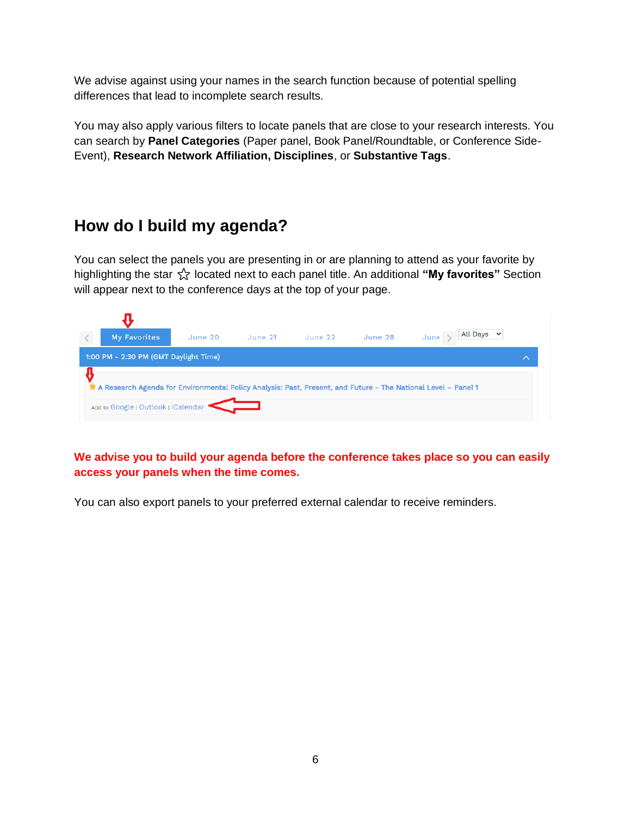We advise against using your names in the search function because of potential spelling differences that lead to incomplete search results.

You may also apply various filters to locate panels that are close to your research interests. You can search by **Panel Categories** (Paper panel, Book Panel/Roundtable, or Conference Side-Event), **Research Network Affiliation, Disciplines**, or **Substantive Tags**.

#### <span id="page-5-0"></span>**How do I build my agenda?**

You can select the panels you are presenting in or are planning to attend as your favorite by highlighting the star ⭐ located next to each panel title. An additional **"My favorites"** Section will appear next to the conference days at the top of your page.

| $\langle$ | My Favorites                                                                                                                                         | June 20 | June 21 | June 22 | June 28 | All Days<br>$\checkmark$<br>June |   |
|-----------|------------------------------------------------------------------------------------------------------------------------------------------------------|---------|---------|---------|---------|----------------------------------|---|
|           | 1:00 PM - 2:30 PM (GMT Daylight Time)                                                                                                                |         |         |         |         |                                  | ⌒ |
|           | A Research Agenda for Environmental Policy Analysis: Past, Present, and Future - The National Level – Panel 1<br>Add to Google   Outlook   iCalendar |         |         |         |         |                                  |   |

**We advise you to build your agenda before the conference takes place so you can easily access your panels when the time comes.**

You can also export panels to your preferred external calendar to receive reminders.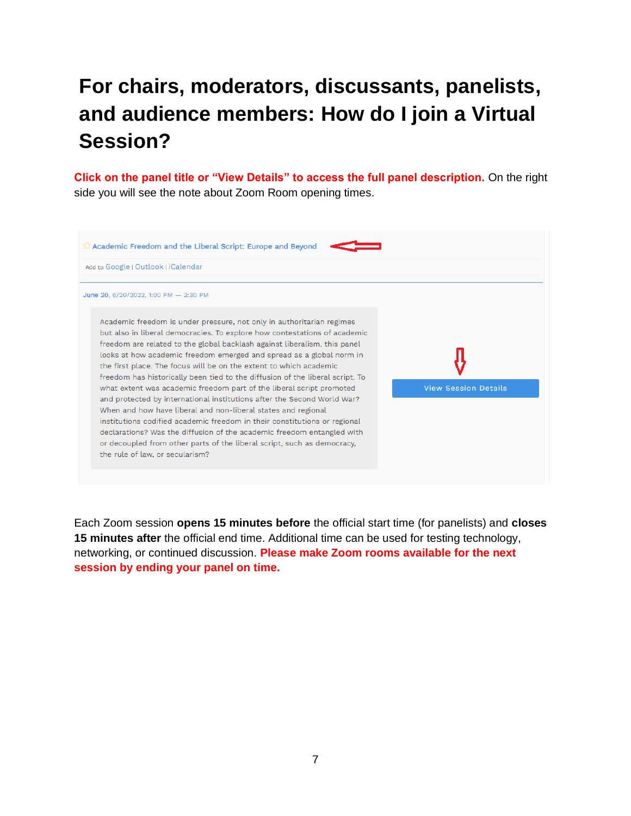# <span id="page-6-0"></span>**For chairs, moderators, discussants, panelists, and audience members: How do I join a Virtual Session?**

**Click on the panel title or "View Details" to access the full panel description.** On the right side you will see the note about Zoom Room opening times.

| Add to Google   Outlook   iCalendar                                                                                                                                                                                                                                                                                                                                                                                                                                                                                                                                                                                                                                                |                             |
|------------------------------------------------------------------------------------------------------------------------------------------------------------------------------------------------------------------------------------------------------------------------------------------------------------------------------------------------------------------------------------------------------------------------------------------------------------------------------------------------------------------------------------------------------------------------------------------------------------------------------------------------------------------------------------|-----------------------------|
| June 20, 6/20/2022, 1:00 PM - 2:30 PM                                                                                                                                                                                                                                                                                                                                                                                                                                                                                                                                                                                                                                              |                             |
| Academic freedom is under pressure, not only in authoritarian regimes<br>but also in liberal democracies. To explore how contestations of academic<br>freedom are related to the global backlash against liberalism, this panel<br>looks at how academic freedom emerged and spread as a global norm in<br>the first place. The focus will be on the extent to which academic<br>freedom has historically been tied to the diffusion of the liberal script. To<br>what extent was academic freedom part of the liberal script promoted<br>and protected by international institutions after the Second World War?<br>When and how have liberal and non-liberal states and regional | <b>View Session Details</b> |
| institutions codified academic freedom in their constitutions or regional<br>declarations? Was the diffusion of the academic freedom entangled with<br>or decoupled from other parts of the liberal script, such as democracy,<br>the rule of law, or secularism?                                                                                                                                                                                                                                                                                                                                                                                                                  |                             |

Each Zoom session **opens 15 minutes before** the official start time (for panelists) and **closes 15 minutes after** the official end time. Additional time can be used for testing technology, networking, or continued discussion. **Please make Zoom rooms available for the next session by ending your panel on time.**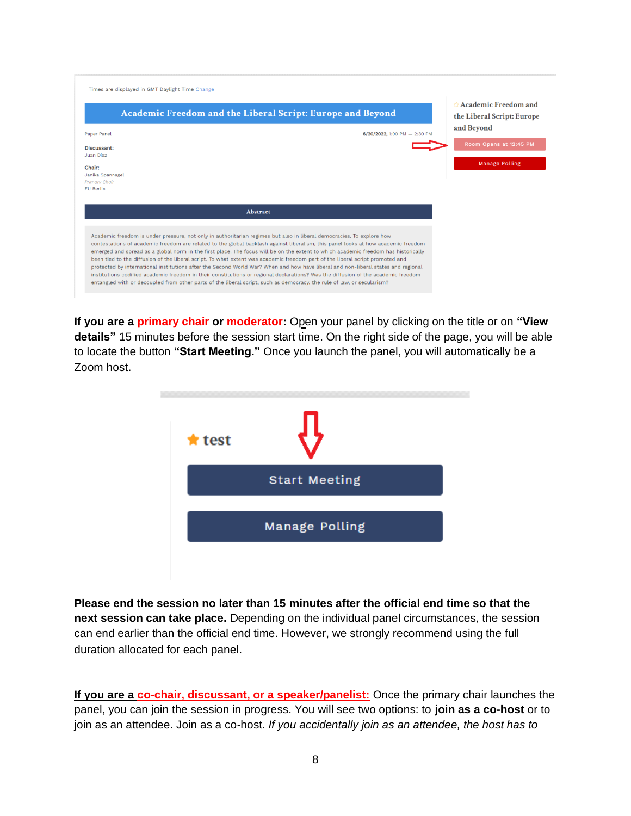| and Beyond<br>Paper Panel<br>6/20/2022, 1:00 PM - 2:30 PM<br>Room Opens at 12:45 PM<br>Discussant:<br>Juan Diez<br><b>Manage Polling</b><br>Chair:<br>Janika Spannagel<br><b>Primary Chair</b><br>FU Berlin |
|-------------------------------------------------------------------------------------------------------------------------------------------------------------------------------------------------------------|
|                                                                                                                                                                                                             |
|                                                                                                                                                                                                             |
| <b>Abstract</b>                                                                                                                                                                                             |

**If you are a primary chair or moderator:** Open your panel by clicking on the title or on "View **details"** 15 minutes before the session start time. On the right side of the page, you will be able to locate the button **"Start Meeting."** Once you launch the panel, you will automatically be a Zoom host.



**Please end the session no later than 15 minutes after the official end time so that the next session can take place.** Depending on the individual panel circumstances, the session can end earlier than the official end time. However, we strongly recommend using the full duration allocated for each panel.

**If you are a co-chair, discussant, or a speaker/panelist:** Once the primary chair launches the panel, you can join the session in progress. You will see two options: to **join as a co-host** or to join as an attendee. Join as a co-host. *If you accidentally join as an attendee, the host has to*